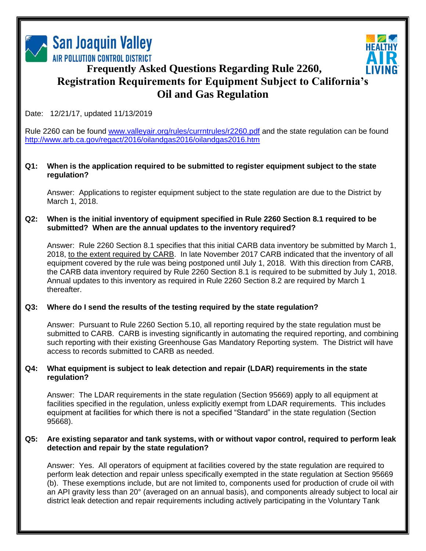



# **Frequently Asked Questions Regarding Rule 2260, Registration Requirements for Equipment Subject to California's Oil and Gas Regulation**

# Date: 12/21/17, updated 11/13/2019

Rule 2260 can be found [www.valleyair.org/rules/currntrules/r2260.pdf](http://www.valleyair.org/rules/currntrules/r2260.pdf) and the state regulation can be found <http://www.arb.ca.gov/regact/2016/oilandgas2016/oilandgas2016.htm>

## **Q1: When is the application required to be submitted to register equipment subject to the state regulation?**

Answer: Applications to register equipment subject to the state regulation are due to the District by March 1, 2018.

## **Q2: When is the initial inventory of equipment specified in Rule 2260 Section 8.1 required to be submitted? When are the annual updates to the inventory required?**

Answer: Rule 2260 Section 8.1 specifies that this initial CARB data inventory be submitted by March 1, 2018, to the extent required by CARB. In late November 2017 CARB indicated that the inventory of all equipment covered by the rule was being postponed until July 1, 2018. With this direction from CARB, the CARB data inventory required by Rule 2260 Section 8.1 is required to be submitted by July 1, 2018. Annual updates to this inventory as required in Rule 2260 Section 8.2 are required by March 1 thereafter.

## **Q3: Where do I send the results of the testing required by the state regulation?**

Answer: Pursuant to Rule 2260 Section 5.10, all reporting required by the state regulation must be submitted to CARB. CARB is investing significantly in automating the required reporting, and combining such reporting with their existing Greenhouse Gas Mandatory Reporting system. The District will have access to records submitted to CARB as needed.

## **Q4: What equipment is subject to leak detection and repair (LDAR) requirements in the state regulation?**

Answer: The LDAR requirements in the state regulation (Section 95669) apply to all equipment at facilities specified in the regulation, unless explicitly exempt from LDAR requirements. This includes equipment at facilities for which there is not a specified "Standard" in the state regulation (Section 95668).

## **Q5: Are existing separator and tank systems, with or without vapor control, required to perform leak detection and repair by the state regulation?**

Answer: Yes. All operators of equipment at facilities covered by the state regulation are required to perform leak detection and repair unless specifically exempted in the state regulation at Section 95669 (b). These exemptions include, but are not limited to, components used for production of crude oil with an API gravity less than 20° (averaged on an annual basis), and components already subject to local air district leak detection and repair requirements including actively participating in the Voluntary Tank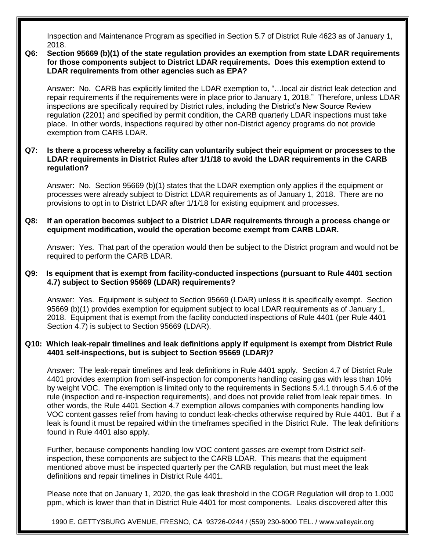Inspection and Maintenance Program as specified in Section 5.7 of District Rule 4623 as of January 1, 2018.

## **Q6: Section 95669 (b)(1) of the state regulation provides an exemption from state LDAR requirements for those components subject to District LDAR requirements. Does this exemption extend to LDAR requirements from other agencies such as EPA?**

Answer: No. CARB has explicitly limited the LDAR exemption to, "…local air district leak detection and repair requirements if the requirements were in place prior to January 1, 2018." Therefore, unless LDAR inspections are specifically required by District rules, including the District's New Source Review regulation (2201) and specified by permit condition, the CARB quarterly LDAR inspections must take place. In other words, inspections required by other non-District agency programs do not provide exemption from CARB LDAR.

## **Q7: Is there a process whereby a facility can voluntarily subject their equipment or processes to the LDAR requirements in District Rules after 1/1/18 to avoid the LDAR requirements in the CARB regulation?**

Answer: No. Section 95669 (b)(1) states that the LDAR exemption only applies if the equipment or processes were already subject to District LDAR requirements as of January 1, 2018. There are no provisions to opt in to District LDAR after 1/1/18 for existing equipment and processes.

## **Q8: If an operation becomes subject to a District LDAR requirements through a process change or equipment modification, would the operation become exempt from CARB LDAR.**

Answer: Yes. That part of the operation would then be subject to the District program and would not be required to perform the CARB LDAR.

## **Q9: Is equipment that is exempt from facility-conducted inspections (pursuant to Rule 4401 section 4.7) subject to Section 95669 (LDAR) requirements?**

Answer: Yes. Equipment is subject to Section 95669 (LDAR) unless it is specifically exempt. Section 95669 (b)(1) provides exemption for equipment subject to local LDAR requirements as of January 1, 2018. Equipment that is exempt from the facility conducted inspections of Rule 4401 (per Rule 4401 Section 4.7) is subject to Section 95669 (LDAR).

## **Q10: Which leak-repair timelines and leak definitions apply if equipment is exempt from District Rule 4401 self-inspections, but is subject to Section 95669 (LDAR)?**

Answer: The leak-repair timelines and leak definitions in Rule 4401 apply. Section 4.7 of District Rule 4401 provides exemption from self-inspection for components handling casing gas with less than 10% by weight VOC. The exemption is limited only to the requirements in Sections 5.4.1 through 5.4.6 of the rule (inspection and re-inspection requirements), and does not provide relief from leak repair times. In other words, the Rule 4401 Section 4.7 exemption allows companies with components handling low VOC content gasses relief from having to conduct leak-checks otherwise required by Rule 4401. But if a leak is found it must be repaired within the timeframes specified in the District Rule. The leak definitions found in Rule 4401 also apply.

Further, because components handling low VOC content gasses are exempt from District selfinspection, these components are subject to the CARB LDAR. This means that the equipment mentioned above must be inspected quarterly per the CARB regulation, but must meet the leak definitions and repair timelines in District Rule 4401.

Please note that on January 1, 2020, the gas leak threshold in the COGR Regulation will drop to 1,000 ppm, which is lower than that in District Rule 4401 for most components. Leaks discovered after this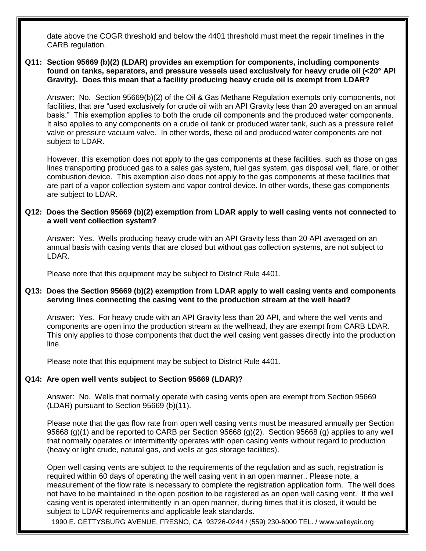date above the COGR threshold and below the 4401 threshold must meet the repair timelines in the CARB regulation.

#### **Q11: Section 95669 (b)(2) (LDAR) provides an exemption for components, including components found on tanks, separators, and pressure vessels used exclusively for heavy crude oil (<20° API Gravity). Does this mean that a facility producing heavy crude oil is exempt from LDAR?**

Answer: No. Section 95669(b)(2) of the Oil & Gas Methane Regulation exempts only components, not facilities, that are "used exclusively for crude oil with an API Gravity less than 20 averaged on an annual basis." This exemption applies to both the crude oil components and the produced water components. It also applies to any components on a crude oil tank or produced water tank, such as a pressure relief valve or pressure vacuum valve. In other words, these oil and produced water components are not subject to LDAR.

However, this exemption does not apply to the gas components at these facilities, such as those on gas lines transporting produced gas to a sales gas system, fuel gas system, gas disposal well, flare, or other combustion device. This exemption also does not apply to the gas components at these facilities that are part of a vapor collection system and vapor control device. In other words, these gas components are subject to LDAR.

## **Q12: Does the Section 95669 (b)(2) exemption from LDAR apply to well casing vents not connected to a well vent collection system?**

Answer: Yes. Wells producing heavy crude with an API Gravity less than 20 API averaged on an annual basis with casing vents that are closed but without gas collection systems, are not subject to LDAR.

Please note that this equipment may be subject to District Rule 4401.

## **Q13: Does the Section 95669 (b)(2) exemption from LDAR apply to well casing vents and components serving lines connecting the casing vent to the production stream at the well head?**

Answer: Yes. For heavy crude with an API Gravity less than 20 API, and where the well vents and components are open into the production stream at the wellhead, they are exempt from CARB LDAR. This only applies to those components that duct the well casing vent gasses directly into the production line.

Please note that this equipment may be subject to District Rule 4401.

#### **Q14: Are open well vents subject to Section 95669 (LDAR)?**

Answer: No. Wells that normally operate with casing vents open are exempt from Section 95669 (LDAR) pursuant to Section 95669 (b)(11).

Please note that the gas flow rate from open well casing vents must be measured annually per Section 95668 (g)(1) and be reported to CARB per Section 95668 (g)(2). Section 95668 (g) applies to any well that normally operates or intermittently operates with open casing vents without regard to production (heavy or light crude, natural gas, and wells at gas storage facilities).

Open well casing vents are subject to the requirements of the regulation and as such, registration is required within 60 days of operating the well casing vent in an open manner.. Please note, a measurement of the flow rate is necessary to complete the registration application form. The well does not have to be maintained in the open position to be registered as an open well casing vent. If the well casing vent is operated intermittently in an open manner, during times that it is closed, it would be subject to LDAR requirements and applicable leak standards.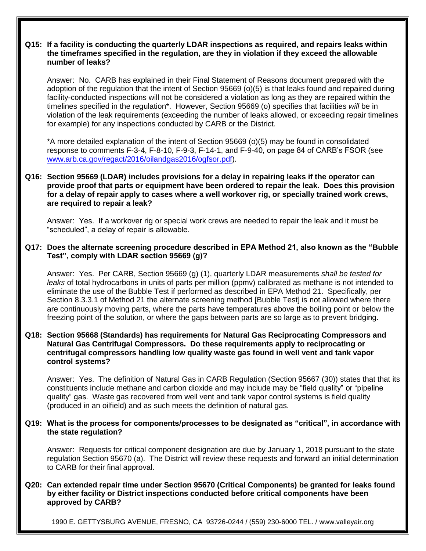## **Q15: If a facility is conducting the quarterly LDAR inspections as required, and repairs leaks within the timeframes specified in the regulation, are they in violation if they exceed the allowable number of leaks?**

Answer: No. CARB has explained in their Final Statement of Reasons document prepared with the adoption of the regulation that the intent of Section 95669 (o)(5) is that leaks found and repaired during facility-conducted inspections will not be considered a violation as long as they are repaired within the timelines specified in the regulation\*. However, Section 95669 (o) specifies that facilities *will* be in violation of the leak requirements (exceeding the number of leaks allowed, or exceeding repair timelines for example) for any inspections conducted by CARB or the District.

\*A more detailed explanation of the intent of Section 95669 (o)(5) may be found in consolidated response to comments F-3-4, F-8-10, F-9-3, F-14-1, and F-9-40, on page 84 of CARB's FSOR (see [www.arb.ca.gov/regact/2016/oilandgas2016/ogfsor.pdf\)](https://www.arb.ca.gov/regact/2016/oilandgas2016/ogfsor.pdf).

## **Q16: Section 95669 (LDAR) includes provisions for a delay in repairing leaks if the operator can provide proof that parts or equipment have been ordered to repair the leak. Does this provision for a delay of repair apply to cases where a well workover rig, or specially trained work crews, are required to repair a leak?**

Answer: Yes. If a workover rig or special work crews are needed to repair the leak and it must be "scheduled", a delay of repair is allowable.

## **Q17: Does the alternate screening procedure described in EPA Method 21, also known as the "Bubble Test", comply with LDAR section 95669 (g)?**

Answer: Yes. Per CARB, Section 95669 (g) (1), quarterly LDAR measurements *shall be tested for leaks* of total hydrocarbons in units of parts per million (ppmv) calibrated as methane is not intended to eliminate the use of the Bubble Test if performed as described in EPA Method 21. Specifically, per Section 8.3.3.1 of Method 21 the alternate screening method [Bubble Test] is not allowed where there are continuously moving parts, where the parts have temperatures above the boiling point or below the freezing point of the solution, or where the gaps between parts are so large as to prevent bridging.

## **Q18: Section 95668 (Standards) has requirements for Natural Gas Reciprocating Compressors and Natural Gas Centrifugal Compressors. Do these requirements apply to reciprocating or centrifugal compressors handling low quality waste gas found in well vent and tank vapor control systems?**

Answer: Yes. The definition of Natural Gas in CARB Regulation (Section 95667 (30)) states that that its constituents include methane and carbon dioxide and may include may be "field quality" or "pipeline quality" gas. Waste gas recovered from well vent and tank vapor control systems is field quality (produced in an oilfield) and as such meets the definition of natural gas.

## **Q19: What is the process for components/processes to be designated as "critical", in accordance with the state regulation?**

Answer: Requests for critical component designation are due by January 1, 2018 pursuant to the state regulation Section 95670 (a). The District will review these requests and forward an initial determination to CARB for their final approval.

## **Q20: Can extended repair time under Section 95670 (Critical Components) be granted for leaks found by either facility or District inspections conducted before critical components have been approved by CARB?**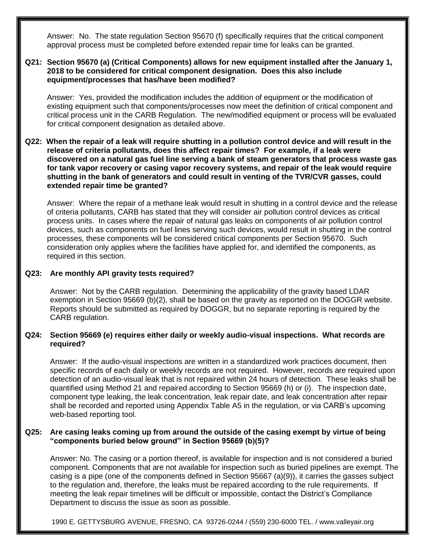Answer: No. The state regulation Section 95670 (f) specifically requires that the critical component approval process must be completed before extended repair time for leaks can be granted.

#### **Q21: Section 95670 (a) (Critical Components) allows for new equipment installed after the January 1, 2018 to be considered for critical component designation. Does this also include equipment/processes that has/have been modified?**

Answer: Yes, provided the modification includes the addition of equipment or the modification of existing equipment such that components/processes now meet the definition of critical component and critical process unit in the CARB Regulation. The new/modified equipment or process will be evaluated for critical component designation as detailed above.

## **Q22: When the repair of a leak will require shutting in a pollution control device and will result in the release of criteria pollutants, does this affect repair times? For example, if a leak were discovered on a natural gas fuel line serving a bank of steam generators that process waste gas for tank vapor recovery or casing vapor recovery systems, and repair of the leak would require shutting in the bank of generators and could result in venting of the TVR/CVR gasses, could extended repair time be granted?**

Answer: Where the repair of a methane leak would result in shutting in a control device and the release of criteria pollutants, CARB has stated that they will consider air pollution control devices as critical process units. In cases where the repair of natural gas leaks on components of air pollution control devices, such as components on fuel lines serving such devices, would result in shutting in the control processes, these components will be considered critical components per Section 95670. Such consideration only applies where the facilities have applied for, and identified the components, as required in this section.

## **Q23: Are monthly API gravity tests required?**

Answer: Not by the CARB regulation. Determining the applicability of the gravity based LDAR exemption in Section 95669 (b)(2), shall be based on the gravity as reported on the DOGGR website. Reports should be submitted as required by DOGGR, but no separate reporting is required by the CARB regulation.

## **Q24: Section 95669 (e) requires either daily or weekly audio-visual inspections. What records are required?**

Answer: If the audio-visual inspections are written in a standardized work practices document, then specific records of each daily or weekly records are not required. However, records are required upon detection of an audio-visual leak that is not repaired within 24 hours of detection. These leaks shall be quantified using Method 21 and repaired according to Section 95669 (h) or (i). The inspection date, component type leaking, the leak concentration, leak repair date, and leak concentration after repair shall be recorded and reported using Appendix Table A5 in the regulation, or via CARB's upcoming web-based reporting tool.

## **Q25: Are casing leaks coming up from around the outside of the casing exempt by virtue of being "components buried below ground" in Section 95669 (b)(5)?**

Answer: No. The casing or a portion thereof, is available for inspection and is not considered a buried component. Components that are not available for inspection such as buried pipelines are exempt. The casing is a pipe (one of the components defined in Section 95667 (a)(9)), it carries the gasses subject to the regulation and, therefore, the leaks must be repaired according to the rule requirements. If meeting the leak repair timelines will be difficult or impossible, contact the District's Compliance Department to discuss the issue as soon as possible.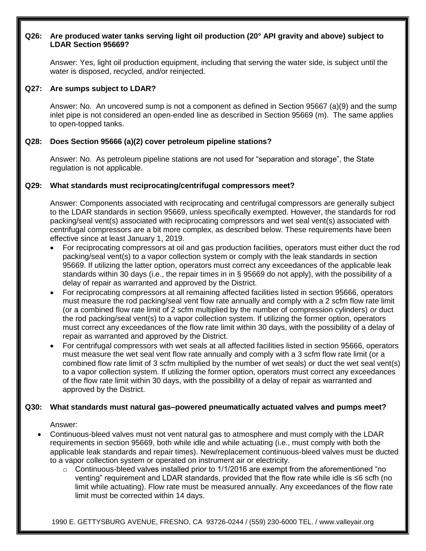## **Q26: Are produced water tanks serving light oil production (20° API gravity and above) subject to LDAR Section 95669?**

Answer: Yes, light oil production equipment, including that serving the water side, is subject until the water is disposed, recycled, and/or reinjected.

## **Q27: Are sumps subject to LDAR?**

Answer: No. An uncovered sump is not a component as defined in Section 95667 (a)(9) and the sump inlet pipe is not considered an open-ended line as described in Section 95669 (m). The same applies to open-topped tanks.

# **Q28: Does Section 95666 (a)(2) cover petroleum pipeline stations?**

Answer: No. As petroleum pipeline stations are not used for "separation and storage", the State regulation is not applicable.

# **Q29: What standards must reciprocating/centrifugal compressors meet?**

Answer: Components associated with reciprocating and centrifugal compressors are generally subject to the LDAR standards in section 95669, unless specifically exempted. However, the standards for rod packing/seal vent(s) associated with reciprocating compressors and wet seal vent(s) associated with centrifugal compressors are a bit more complex, as described below. These requirements have been effective since at least January 1, 2019.

- For reciprocating compressors at oil and gas production facilities, operators must either duct the rod packing/seal vent(s) to a vapor collection system or comply with the leak standards in section 95669. If utilizing the latter option, operators must correct any exceedances of the applicable leak standards within 30 days (i.e., the repair times in in § 95669 do not apply), with the possibility of a delay of repair as warranted and approved by the District.
- For reciprocating compressors at all remaining affected facilities listed in section 95666, operators must measure the rod packing/seal vent flow rate annually and comply with a 2 scfm flow rate limit (or a combined flow rate limit of 2 scfm multiplied by the number of compression cylinders) *or* duct the rod packing/seal vent(s) to a vapor collection system. If utilizing the former option, operators must correct any exceedances of the flow rate limit within 30 days, with the possibility of a delay of repair as warranted and approved by the District.
- For centrifugal compressors with wet seals at all affected facilities listed in section 95666, operators must measure the wet seal vent flow rate annually and comply with a 3 scfm flow rate limit (or a combined flow rate limit of 3 scfm multiplied by the number of wet seals) *or* duct the wet seal vent(s) to a vapor collection system. If utilizing the former option, operators must correct any exceedances of the flow rate limit within 30 days, with the possibility of a delay of repair as warranted and approved by the District.

## **Q30: What standards must natural gas–powered pneumatically actuated valves and pumps meet?**

## Answer:

- Continuous-bleed valves must not vent natural gas to atmosphere and must comply with the LDAR requirements in section 95669, both while idle and while actuating (i.e., must comply with both the applicable leak standards and repair times). New/replacement continuous-bleed valves must be ducted to a vapor collection system or operated on instrument air or electricity.
	- $\circ$  Continuous-bleed valves installed prior to 1/1/2016 are exempt from the aforementioned "no venting" requirement and LDAR standards, provided that the flow rate while idle is ≤6 scfh (no limit while actuating). Flow rate must be measured annually. Any exceedances of the flow rate limit must be corrected within 14 days.